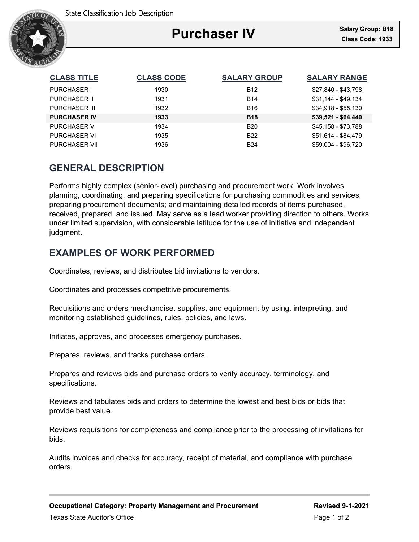

### Ξ **Purchaser IV**

| <b>CLASS TITLE</b>   | <b>CLASS CODE</b> | <b>SALARY GROUP</b> | <b>SALARY RANGE</b> |
|----------------------|-------------------|---------------------|---------------------|
| <b>PURCHASER I</b>   | 1930              | <b>B12</b>          | \$27,840 - \$43,798 |
| <b>PURCHASER II</b>  | 1931              | <b>B14</b>          | \$31.144 - \$49.134 |
| <b>PURCHASER III</b> | 1932              | <b>B16</b>          | $$34,918 - $55,130$ |
| <b>PURCHASER IV</b>  | 1933              | <b>B18</b>          | $$39,521 - $64,449$ |
| <b>PURCHASER V</b>   | 1934              | <b>B20</b>          | \$45,158 - \$73,788 |
| <b>PURCHASER VI</b>  | 1935              | <b>B22</b>          | \$51,614 - \$84,479 |
| <b>PURCHASER VII</b> | 1936              | <b>B24</b>          | \$59,004 - \$96,720 |

# **GENERAL DESCRIPTION**

Performs highly complex (senior-level) purchasing and procurement work. Work involves planning, coordinating, and preparing specifications for purchasing commodities and services; preparing procurement documents; and maintaining detailed records of items purchased, received, prepared, and issued. May serve as a lead worker providing direction to others. Works under limited supervision, with considerable latitude for the use of initiative and independent judgment.

# **EXAMPLES OF WORK PERFORMED**

Coordinates, reviews, and distributes bid invitations to vendors.

Coordinates and processes competitive procurements.

Requisitions and orders merchandise, supplies, and equipment by using, interpreting, and monitoring established guidelines, rules, policies, and laws.

Initiates, approves, and processes emergency purchases.

Prepares, reviews, and tracks purchase orders.

Prepares and reviews bids and purchase orders to verify accuracy, terminology, and specifications.

Reviews and tabulates bids and orders to determine the lowest and best bids or bids that provide best value.

Reviews requisitions for completeness and compliance prior to the processing of invitations for bids.

Audits invoices and checks for accuracy, receipt of material, and compliance with purchase orders.